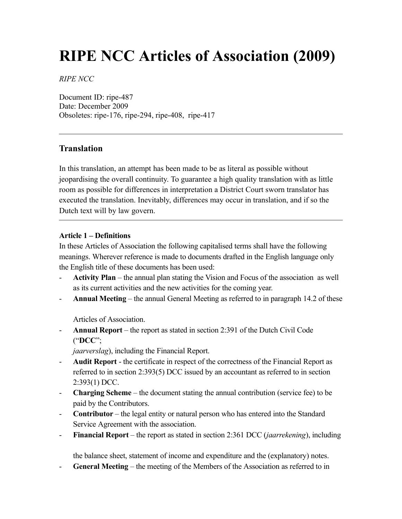# **RIPE NCC Articles of Association (2009)**

*RIPE NCC*

Document ID: ripe-487 Date: December 2009 Obsoletes: ripe-176, ripe-294, ripe-408, ripe-417

## **Translation**

In this translation, an attempt has been made to be as literal as possible without jeopardising the overall continuity. To guarantee a high quality translation with as little room as possible for differences in interpretation a District Court sworn translator has executed the translation. Inevitably, differences may occur in translation, and if so the Dutch text will by law govern.

## **Article 1 – Definitions**

In these Articles of Association the following capitalised terms shall have the following meanings. Wherever reference is made to documents drafted in the English language only the English title of these documents has been used:

- **Activity Plan** the annual plan stating the Vision and Focus of the association as well as its current activities and the new activities for the coming year.
- **Annual Meeting** the annual General Meeting as referred to in paragraph 14.2 of these

Articles of Association.

- **Annual Report** – the report as stated in section 2:391 of the Dutch Civil Code ("**DCC**";

*jaarverslag*), including the Financial Report.

- **Audit Report** the certificate in respect of the correctness of the Financial Report as referred to in section 2:393(5) DCC issued by an accountant as referred to in section 2:393(1) DCC.
- **Charging Scheme** the document stating the annual contribution (service fee) to be paid by the Contributors.
- **Contributor** the legal entity or natural person who has entered into the Standard Service Agreement with the association.
- **Financial Report** the report as stated in section 2:361 DCC (*jaarrekening*), including

the balance sheet, statement of income and expenditure and the (explanatory) notes.

- **General Meeting** – the meeting of the Members of the Association as referred to in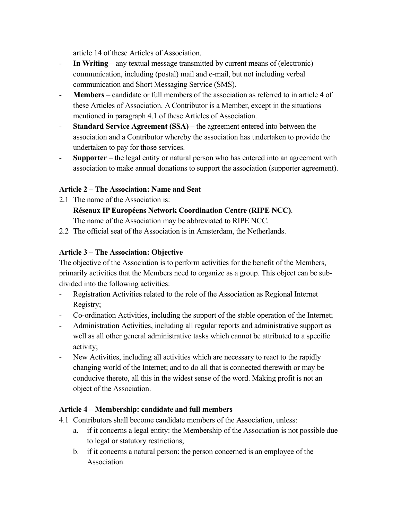article 14 of these Articles of Association.

- **In Writing** any textual message transmitted by current means of (electronic) communication, including (postal) mail and e-mail, but not including verbal communication and Short Messaging Service (SMS).
- **Members** candidate or full members of the association as referred to in article 4 of these Articles of Association. A Contributor is a Member, except in the situations mentioned in paragraph 4.1 of these Articles of Association.
- **Standard Service Agreement (SSA)** the agreement entered into between the association and a Contributor whereby the association has undertaken to provide the undertaken to pay for those services.
- **Supporter** the legal entity or natural person who has entered into an agreement with association to make annual donations to support the association (supporter agreement).

## **Article 2 – The Association: Name and Seat**

2.1 The name of the Association is:

## **Réseaux IP Européens Network Coordination Centre (RIPE NCC)**.

The name of the Association may be abbreviated to RIPE NCC.

2.2 The official seat of the Association is in Amsterdam, the Netherlands.

## **Article 3 – The Association: Objective**

The objective of the Association is to perform activities for the benefit of the Members, primarily activities that the Members need to organize as a group. This object can be subdivided into the following activities:

- Registration Activities related to the role of the Association as Regional Internet Registry;
- Co-ordination Activities, including the support of the stable operation of the Internet;
- Administration Activities, including all regular reports and administrative support as well as all other general administrative tasks which cannot be attributed to a specific activity;
- New Activities, including all activities which are necessary to react to the rapidly changing world of the Internet; and to do all that is connected therewith or may be conducive thereto, all this in the widest sense of the word. Making profit is not an object of the Association.

## **Article 4 – Membership: candidate and full members**

- 4.1 Contributors shall become candidate members of the Association, unless:
	- a. if it concerns a legal entity: the Membership of the Association is not possible due to legal or statutory restrictions;
	- b. if it concerns a natural person: the person concerned is an employee of the Association.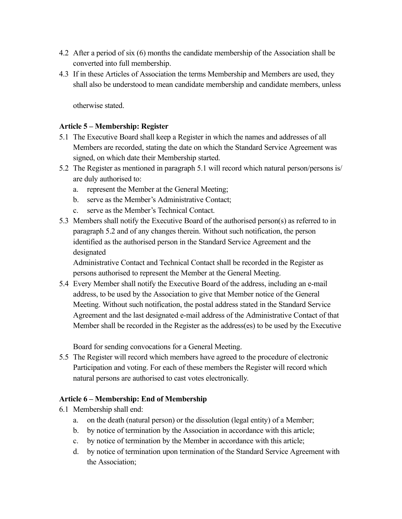- 4.2 After a period of six (6) months the candidate membership of the Association shall be converted into full membership.
- 4.3 If in these Articles of Association the terms Membership and Members are used, they shall also be understood to mean candidate membership and candidate members, unless

otherwise stated.

## **Article 5 – Membership: Register**

- 5.1 The Executive Board shall keep a Register in which the names and addresses of all Members are recorded, stating the date on which the Standard Service Agreement was signed, on which date their Membership started.
- 5.2 The Register as mentioned in paragraph 5.1 will record which natural person/persons is/ are duly authorised to:
	- a. represent the Member at the General Meeting;
	- b. serve as the Member's Administrative Contact;
	- c. serve as the Member's Technical Contact.
- 5.3 Members shall notify the Executive Board of the authorised person(s) as referred to in paragraph 5.2 and of any changes therein. Without such notification, the person identified as the authorised person in the Standard Service Agreement and the designated

Administrative Contact and Technical Contact shall be recorded in the Register as persons authorised to represent the Member at the General Meeting.

5.4 Every Member shall notify the Executive Board of the address, including an e-mail address, to be used by the Association to give that Member notice of the General Meeting. Without such notification, the postal address stated in the Standard Service Agreement and the last designated e-mail address of the Administrative Contact of that Member shall be recorded in the Register as the address(es) to be used by the Executive

Board for sending convocations for a General Meeting.

5.5 The Register will record which members have agreed to the procedure of electronic Participation and voting. For each of these members the Register will record which natural persons are authorised to cast votes electronically.

## **Article 6 – Membership: End of Membership**

- 6.1 Membership shall end:
	- a. on the death (natural person) or the dissolution (legal entity) of a Member;
	- b. by notice of termination by the Association in accordance with this article;
	- c. by notice of termination by the Member in accordance with this article;
	- d. by notice of termination upon termination of the Standard Service Agreement with the Association;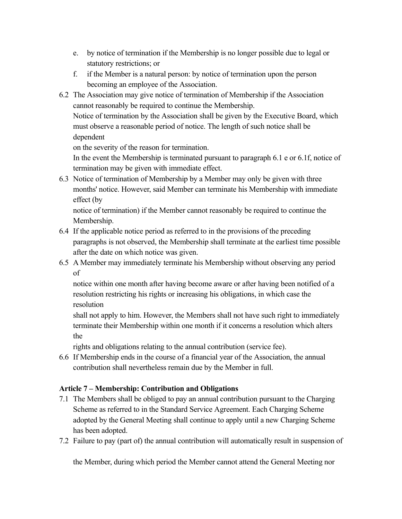- e. by notice of termination if the Membership is no longer possible due to legal or statutory restrictions; or
- f. if the Member is a natural person: by notice of termination upon the person becoming an employee of the Association.
- 6.2 The Association may give notice of termination of Membership if the Association cannot reasonably be required to continue the Membership.

Notice of termination by the Association shall be given by the Executive Board, which must observe a reasonable period of notice. The length of such notice shall be dependent

on the severity of the reason for termination.

In the event the Membership is terminated pursuant to paragraph 6.1 e or 6.1f, notice of termination may be given with immediate effect.

6.3 Notice of termination of Membership by a Member may only be given with three months' notice. However, said Member can terminate his Membership with immediate effect (by

notice of termination) if the Member cannot reasonably be required to continue the Membership.

- 6.4 If the applicable notice period as referred to in the provisions of the preceding paragraphs is not observed, the Membership shall terminate at the earliest time possible after the date on which notice was given.
- 6.5 A Member may immediately terminate his Membership without observing any period of

notice within one month after having become aware or after having been notified of a resolution restricting his rights or increasing his obligations, in which case the resolution

shall not apply to him. However, the Members shall not have such right to immediately terminate their Membership within one month if it concerns a resolution which alters the

rights and obligations relating to the annual contribution (service fee).

6.6 If Membership ends in the course of a financial year of the Association, the annual contribution shall nevertheless remain due by the Member in full.

## **Article 7 – Membership: Contribution and Obligations**

- 7.1 The Members shall be obliged to pay an annual contribution pursuant to the Charging Scheme as referred to in the Standard Service Agreement. Each Charging Scheme adopted by the General Meeting shall continue to apply until a new Charging Scheme has been adopted.
- 7.2 Failure to pay (part of) the annual contribution will automatically result in suspension of

the Member, during which period the Member cannot attend the General Meeting nor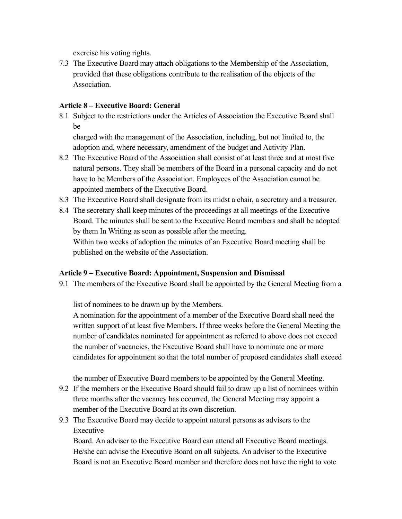exercise his voting rights.

7.3 The Executive Board may attach obligations to the Membership of the Association, provided that these obligations contribute to the realisation of the objects of the **Association** 

## **Article 8 – Executive Board: General**

8.1 Subject to the restrictions under the Articles of Association the Executive Board shall be

charged with the management of the Association, including, but not limited to, the adoption and, where necessary, amendment of the budget and Activity Plan.

- 8.2 The Executive Board of the Association shall consist of at least three and at most five natural persons. They shall be members of the Board in a personal capacity and do not have to be Members of the Association. Employees of the Association cannot be appointed members of the Executive Board.
- 8.3 The Executive Board shall designate from its midst a chair, a secretary and a treasurer.
- 8.4 The secretary shall keep minutes of the proceedings at all meetings of the Executive Board. The minutes shall be sent to the Executive Board members and shall be adopted by them In Writing as soon as possible after the meeting. Within two weeks of adoption the minutes of an Executive Board meeting shall be published on the website of the Association.

#### **Article 9 – Executive Board: Appointment, Suspension and Dismissal**

9.1 The members of the Executive Board shall be appointed by the General Meeting from a

list of nominees to be drawn up by the Members.

A nomination for the appointment of a member of the Executive Board shall need the written support of at least five Members. If three weeks before the General Meeting the number of candidates nominated for appointment as referred to above does not exceed the number of vacancies, the Executive Board shall have to nominate one or more candidates for appointment so that the total number of proposed candidates shall exceed

the number of Executive Board members to be appointed by the General Meeting.

- 9.2 If the members or the Executive Board should fail to draw up a list of nominees within three months after the vacancy has occurred, the General Meeting may appoint a member of the Executive Board at its own discretion.
- 9.3 The Executive Board may decide to appoint natural persons as advisers to the Executive

Board. An adviser to the Executive Board can attend all Executive Board meetings. He/she can advise the Executive Board on all subjects. An adviser to the Executive Board is not an Executive Board member and therefore does not have the right to vote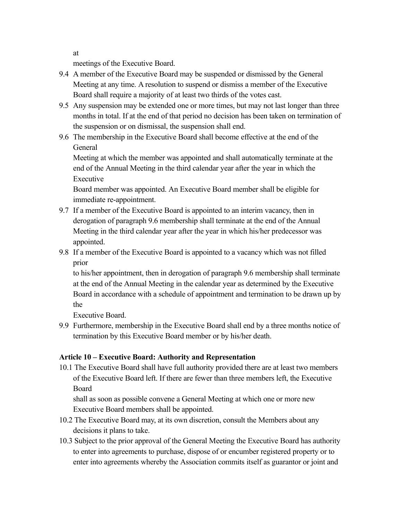at

meetings of the Executive Board.

- 9.4 A member of the Executive Board may be suspended or dismissed by the General Meeting at any time. A resolution to suspend or dismiss a member of the Executive Board shall require a majority of at least two thirds of the votes cast.
- 9.5 Any suspension may be extended one or more times, but may not last longer than three months in total. If at the end of that period no decision has been taken on termination of the suspension or on dismissal, the suspension shall end.
- 9.6 The membership in the Executive Board shall become effective at the end of the General

Meeting at which the member was appointed and shall automatically terminate at the end of the Annual Meeting in the third calendar year after the year in which the Executive

Board member was appointed. An Executive Board member shall be eligible for immediate re-appointment.

- 9.7 If a member of the Executive Board is appointed to an interim vacancy, then in derogation of paragraph 9.6 membership shall terminate at the end of the Annual Meeting in the third calendar year after the year in which his/her predecessor was appointed.
- 9.8 If a member of the Executive Board is appointed to a vacancy which was not filled prior

to his/her appointment, then in derogation of paragraph 9.6 membership shall terminate at the end of the Annual Meeting in the calendar year as determined by the Executive Board in accordance with a schedule of appointment and termination to be drawn up by the

Executive Board.

9.9 Furthermore, membership in the Executive Board shall end by a three months notice of termination by this Executive Board member or by his/her death.

## **Article 10 – Executive Board: Authority and Representation**

10.1 The Executive Board shall have full authority provided there are at least two members of the Executive Board left. If there are fewer than three members left, the Executive Board

shall as soon as possible convene a General Meeting at which one or more new Executive Board members shall be appointed.

- 10.2 The Executive Board may, at its own discretion, consult the Members about any decisions it plans to take.
- 10.3 Subject to the prior approval of the General Meeting the Executive Board has authority to enter into agreements to purchase, dispose of or encumber registered property or to enter into agreements whereby the Association commits itself as guarantor or joint and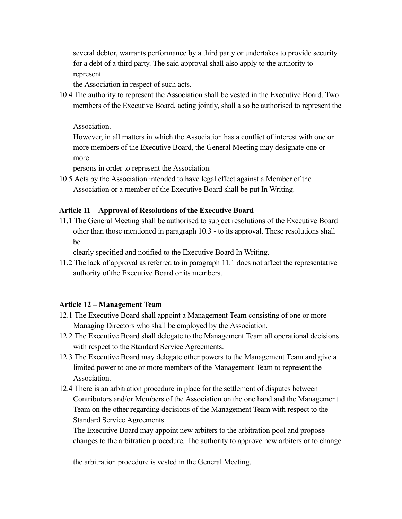several debtor, warrants performance by a third party or undertakes to provide security for a debt of a third party. The said approval shall also apply to the authority to represent

the Association in respect of such acts.

10.4 The authority to represent the Association shall be vested in the Executive Board. Two members of the Executive Board, acting jointly, shall also be authorised to represent the

Association.

However, in all matters in which the Association has a conflict of interest with one or more members of the Executive Board, the General Meeting may designate one or more

persons in order to represent the Association.

10.5 Acts by the Association intended to have legal effect against a Member of the Association or a member of the Executive Board shall be put In Writing.

#### **Article 11 – Approval of Resolutions of the Executive Board**

11.1 The General Meeting shall be authorised to subject resolutions of the Executive Board other than those mentioned in paragraph 10.3 - to its approval. These resolutions shall be

clearly specified and notified to the Executive Board In Writing.

11.2 The lack of approval as referred to in paragraph 11.1 does not affect the representative authority of the Executive Board or its members.

#### **Article 12 – Management Team**

- 12.1 The Executive Board shall appoint a Management Team consisting of one or more Managing Directors who shall be employed by the Association.
- 12.2 The Executive Board shall delegate to the Management Team all operational decisions with respect to the Standard Service Agreements.
- 12.3 The Executive Board may delegate other powers to the Management Team and give a limited power to one or more members of the Management Team to represent the Association.
- 12.4 There is an arbitration procedure in place for the settlement of disputes between Contributors and/or Members of the Association on the one hand and the Management Team on the other regarding decisions of the Management Team with respect to the Standard Service Agreements.

The Executive Board may appoint new arbiters to the arbitration pool and propose changes to the arbitration procedure. The authority to approve new arbiters or to change

the arbitration procedure is vested in the General Meeting.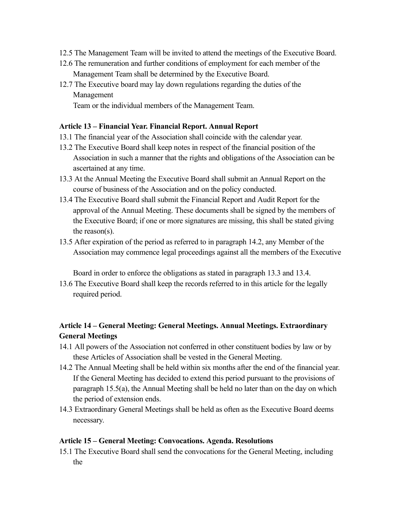- 12.5 The Management Team will be invited to attend the meetings of the Executive Board.
- 12.6 The remuneration and further conditions of employment for each member of the Management Team shall be determined by the Executive Board.
- 12.7 The Executive board may lay down regulations regarding the duties of the Management

Team or the individual members of the Management Team.

#### **Article 13 – Financial Year. Financial Report. Annual Report**

- 13.1 The financial year of the Association shall coincide with the calendar year.
- 13.2 The Executive Board shall keep notes in respect of the financial position of the Association in such a manner that the rights and obligations of the Association can be ascertained at any time.
- 13.3 At the Annual Meeting the Executive Board shall submit an Annual Report on the course of business of the Association and on the policy conducted.
- 13.4 The Executive Board shall submit the Financial Report and Audit Report for the approval of the Annual Meeting. These documents shall be signed by the members of the Executive Board; if one or more signatures are missing, this shall be stated giving the reason(s).
- 13.5 After expiration of the period as referred to in paragraph 14.2, any Member of the Association may commence legal proceedings against all the members of the Executive

Board in order to enforce the obligations as stated in paragraph 13.3 and 13.4.

13.6 The Executive Board shall keep the records referred to in this article for the legally required period.

## **Article 14 – General Meeting: General Meetings. Annual Meetings. Extraordinary General Meetings**

- 14.1 All powers of the Association not conferred in other constituent bodies by law or by these Articles of Association shall be vested in the General Meeting.
- 14.2 The Annual Meeting shall be held within six months after the end of the financial year. If the General Meeting has decided to extend this period pursuant to the provisions of paragraph 15.5(a), the Annual Meeting shall be held no later than on the day on which the period of extension ends.
- 14.3 Extraordinary General Meetings shall be held as often as the Executive Board deems necessary.

#### **Article 15 – General Meeting: Convocations. Agenda. Resolutions**

15.1 The Executive Board shall send the convocations for the General Meeting, including the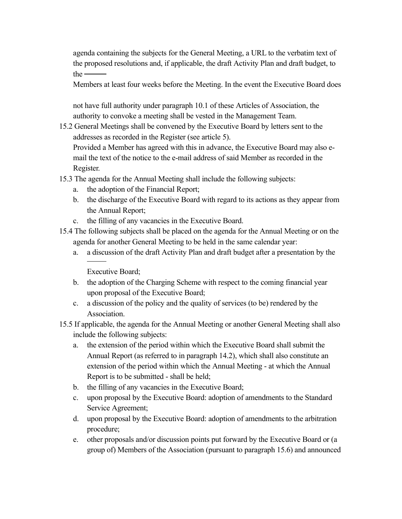agenda containing the subjects for the General Meeting, a URL to the verbatim text of the proposed resolutions and, if applicable, the draft Activity Plan and draft budget, to  $the -$ 

Members at least four weeks before the Meeting. In the event the Executive Board does

not have full authority under paragraph 10.1 of these Articles of Association, the authority to convoke a meeting shall be vested in the Management Team.

15.2 General Meetings shall be convened by the Executive Board by letters sent to the addresses as recorded in the Register (see article 5).

Provided a Member has agreed with this in advance, the Executive Board may also email the text of the notice to the e-mail address of said Member as recorded in the Register.

- 15.3 The agenda for the Annual Meeting shall include the following subjects:
	- a. the adoption of the Financial Report;
	- b. the discharge of the Executive Board with regard to its actions as they appear from the Annual Report;
	- c. the filling of any vacancies in the Executive Board.
- 15.4 The following subjects shall be placed on the agenda for the Annual Meeting or on the agenda for another General Meeting to be held in the same calendar year:
	- a. a discussion of the draft Activity Plan and draft budget after a presentation by the

Executive Board;

- b. the adoption of the Charging Scheme with respect to the coming financial year upon proposal of the Executive Board;
- c. a discussion of the policy and the quality of services (to be) rendered by the Association.
- 15.5 If applicable, the agenda for the Annual Meeting or another General Meeting shall also include the following subjects:
	- a. the extension of the period within which the Executive Board shall submit the Annual Report (as referred to in paragraph 14.2), which shall also constitute an extension of the period within which the Annual Meeting - at which the Annual Report is to be submitted - shall be held;
	- b. the filling of any vacancies in the Executive Board;
	- c. upon proposal by the Executive Board: adoption of amendments to the Standard Service Agreement;
	- d. upon proposal by the Executive Board: adoption of amendments to the arbitration procedure;
	- e. other proposals and/or discussion points put forward by the Executive Board or (a group of) Members of the Association (pursuant to paragraph 15.6) and announced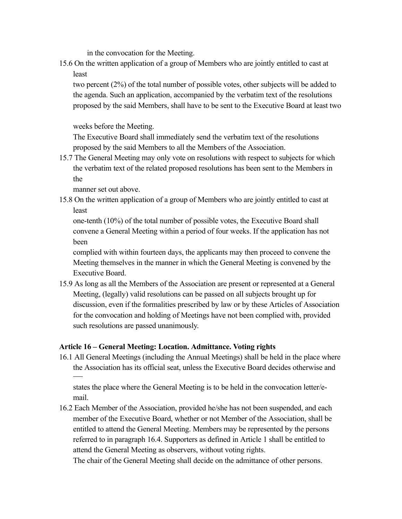in the convocation for the Meeting.

15.6 On the written application of a group of Members who are jointly entitled to cast at least

two percent (2%) of the total number of possible votes, other subjects will be added to the agenda. Such an application, accompanied by the verbatim text of the resolutions proposed by the said Members, shall have to be sent to the Executive Board at least two

weeks before the Meeting.

The Executive Board shall immediately send the verbatim text of the resolutions proposed by the said Members to all the Members of the Association.

15.7 The General Meeting may only vote on resolutions with respect to subjects for which the verbatim text of the related proposed resolutions has been sent to the Members in the

manner set out above.

15.8 On the written application of a group of Members who are jointly entitled to cast at least

one-tenth (10%) of the total number of possible votes, the Executive Board shall convene a General Meeting within a period of four weeks. If the application has not been

complied with within fourteen days, the applicants may then proceed to convene the Meeting themselves in the manner in which the General Meeting is convened by the Executive Board.

15.9 As long as all the Members of the Association are present or represented at a General Meeting, (legally) valid resolutions can be passed on all subjects brought up for discussion, even if the formalities prescribed by law or by these Articles of Association for the convocation and holding of Meetings have not been complied with, provided such resolutions are passed unanimously.

## **Article 16 – General Meeting: Location. Admittance. Voting rights**

16.1 All General Meetings (including the Annual Meetings) shall be held in the place where the Association has its official seat, unless the Executive Board decides otherwise and

states the place where the General Meeting is to be held in the convocation letter/email.

16.2 Each Member of the Association, provided he/she has not been suspended, and each member of the Executive Board, whether or not Member of the Association, shall be entitled to attend the General Meeting. Members may be represented by the persons referred to in paragraph 16.4. Supporters as defined in Article 1 shall be entitled to attend the General Meeting as observers, without voting rights.

The chair of the General Meeting shall decide on the admittance of other persons.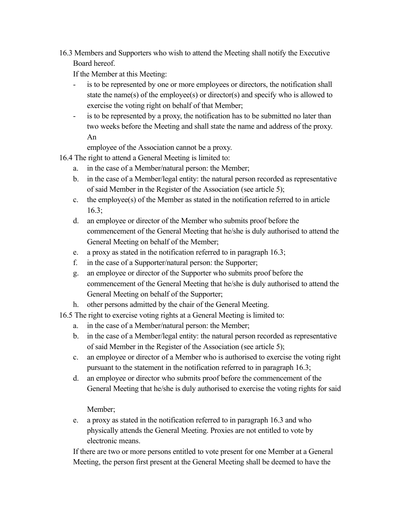16.3 Members and Supporters who wish to attend the Meeting shall notify the Executive Board hereof.

If the Member at this Meeting:

- is to be represented by one or more employees or directors, the notification shall state the name(s) of the employee(s) or director(s) and specify who is allowed to exercise the voting right on behalf of that Member;
- is to be represented by a proxy, the notification has to be submitted no later than two weeks before the Meeting and shall state the name and address of the proxy. An

employee of the Association cannot be a proxy.

16.4 The right to attend a General Meeting is limited to:

- a. in the case of a Member/natural person: the Member;
- b. in the case of a Member/legal entity: the natural person recorded as representative of said Member in the Register of the Association (see article 5);
- c. the employee $(s)$  of the Member as stated in the notification referred to in article 16.3;
- d. an employee or director of the Member who submits proof before the commencement of the General Meeting that he/she is duly authorised to attend the General Meeting on behalf of the Member;
- e. a proxy as stated in the notification referred to in paragraph 16.3;
- f. in the case of a Supporter/natural person: the Supporter;
- g. an employee or director of the Supporter who submits proof before the commencement of the General Meeting that he/she is duly authorised to attend the General Meeting on behalf of the Supporter;
- h. other persons admitted by the chair of the General Meeting.
- 16.5 The right to exercise voting rights at a General Meeting is limited to:
	- a. in the case of a Member/natural person: the Member;
	- b. in the case of a Member/legal entity: the natural person recorded as representative of said Member in the Register of the Association (see article 5);
	- c. an employee or director of a Member who is authorised to exercise the voting right pursuant to the statement in the notification referred to in paragraph 16.3;
	- d. an employee or director who submits proof before the commencement of the General Meeting that he/she is duly authorised to exercise the voting rights for said

Member;

e. a proxy as stated in the notification referred to in paragraph 16.3 and who physically attends the General Meeting. Proxies are not entitled to vote by electronic means.

If there are two or more persons entitled to vote present for one Member at a General Meeting, the person first present at the General Meeting shall be deemed to have the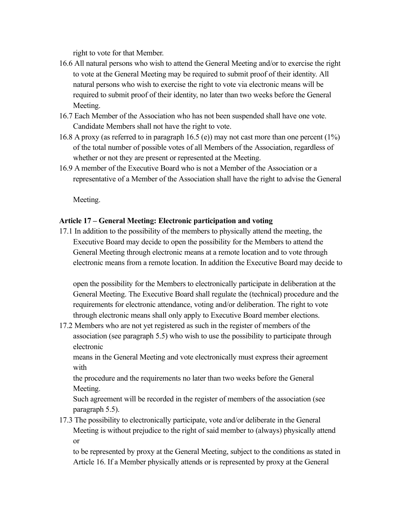right to vote for that Member.

- 16.6 All natural persons who wish to attend the General Meeting and/or to exercise the right to vote at the General Meeting may be required to submit proof of their identity. All natural persons who wish to exercise the right to vote via electronic means will be required to submit proof of their identity, no later than two weeks before the General Meeting.
- 16.7 Each Member of the Association who has not been suspended shall have one vote. Candidate Members shall not have the right to vote.
- 16.8 A proxy (as referred to in paragraph 16.5 (e)) may not cast more than one percent (1%) of the total number of possible votes of all Members of the Association, regardless of whether or not they are present or represented at the Meeting.
- 16.9 A member of the Executive Board who is not a Member of the Association or a representative of a Member of the Association shall have the right to advise the General

Meeting.

## **Article 17 – General Meeting: Electronic participation and voting**

17.1 In addition to the possibility of the members to physically attend the meeting, the Executive Board may decide to open the possibility for the Members to attend the General Meeting through electronic means at a remote location and to vote through electronic means from a remote location. In addition the Executive Board may decide to

open the possibility for the Members to electronically participate in deliberation at the General Meeting. The Executive Board shall regulate the (technical) procedure and the requirements for electronic attendance, voting and/or deliberation. The right to vote through electronic means shall only apply to Executive Board member elections.

17.2 Members who are not yet registered as such in the register of members of the association (see paragraph 5.5) who wish to use the possibility to participate through electronic

means in the General Meeting and vote electronically must express their agreement with

the procedure and the requirements no later than two weeks before the General Meeting.

Such agreement will be recorded in the register of members of the association (see paragraph 5.5).

17.3 The possibility to electronically participate, vote and/or deliberate in the General Meeting is without prejudice to the right of said member to (always) physically attend or

to be represented by proxy at the General Meeting, subject to the conditions as stated in Article 16. If a Member physically attends or is represented by proxy at the General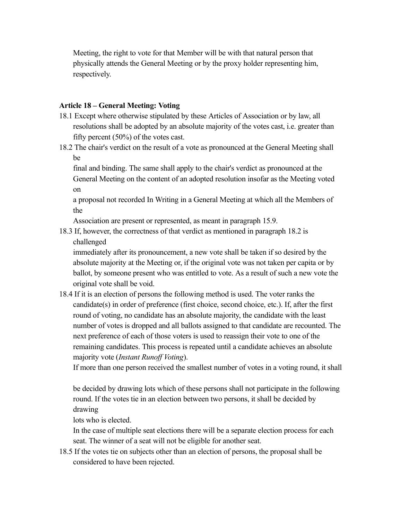Meeting, the right to vote for that Member will be with that natural person that physically attends the General Meeting or by the proxy holder representing him, respectively.

#### **Article 18 – General Meeting: Voting**

- 18.1 Except where otherwise stipulated by these Articles of Association or by law, all resolutions shall be adopted by an absolute majority of the votes cast, i.e. greater than fifty percent (50%) of the votes cast.
- 18.2 The chair's verdict on the result of a vote as pronounced at the General Meeting shall be

final and binding. The same shall apply to the chair's verdict as pronounced at the General Meeting on the content of an adopted resolution insofar as the Meeting voted on

a proposal not recorded In Writing in a General Meeting at which all the Members of the

Association are present or represented, as meant in paragraph 15.9.

18.3 If, however, the correctness of that verdict as mentioned in paragraph 18.2 is challenged

immediately after its pronouncement, a new vote shall be taken if so desired by the absolute majority at the Meeting or, if the original vote was not taken per capita or by ballot, by someone present who was entitled to vote. As a result of such a new vote the original vote shall be void.

18.4 If it is an election of persons the following method is used. The voter ranks the candidate(s) in order of preference (first choice, second choice, etc.). If, after the first round of voting, no candidate has an absolute majority, the candidate with the least number of votes is dropped and all ballots assigned to that candidate are recounted. The next preference of each of those voters is used to reassign their vote to one of the remaining candidates. This process is repeated until a candidate achieves an absolute majority vote (*Instant Runoff Voting*).

If more than one person received the smallest number of votes in a voting round, it shall

be decided by drawing lots which of these persons shall not participate in the following round. If the votes tie in an election between two persons, it shall be decided by drawing

lots who is elected.

In the case of multiple seat elections there will be a separate election process for each seat. The winner of a seat will not be eligible for another seat.

18.5 If the votes tie on subjects other than an election of persons, the proposal shall be considered to have been rejected.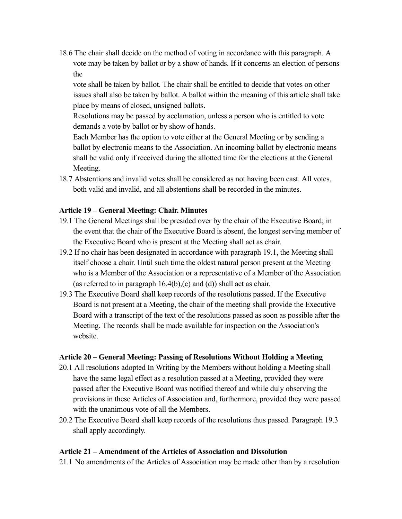18.6 The chair shall decide on the method of voting in accordance with this paragraph. A vote may be taken by ballot or by a show of hands. If it concerns an election of persons the

vote shall be taken by ballot. The chair shall be entitled to decide that votes on other issues shall also be taken by ballot. A ballot within the meaning of this article shall take place by means of closed, unsigned ballots.

Resolutions may be passed by acclamation, unless a person who is entitled to vote demands a vote by ballot or by show of hands.

Each Member has the option to vote either at the General Meeting or by sending a ballot by electronic means to the Association. An incoming ballot by electronic means shall be valid only if received during the allotted time for the elections at the General Meeting.

18.7 Abstentions and invalid votes shall be considered as not having been cast. All votes, both valid and invalid, and all abstentions shall be recorded in the minutes.

#### **Article 19 – General Meeting: Chair. Minutes**

- 19.1 The General Meetings shall be presided over by the chair of the Executive Board; in the event that the chair of the Executive Board is absent, the longest serving member of the Executive Board who is present at the Meeting shall act as chair.
- 19.2 If no chair has been designated in accordance with paragraph 19.1, the Meeting shall itself choose a chair. Until such time the oldest natural person present at the Meeting who is a Member of the Association or a representative of a Member of the Association (as referred to in paragraph 16.4(b),(c) and (d)) shall act as chair.
- 19.3 The Executive Board shall keep records of the resolutions passed. If the Executive Board is not present at a Meeting, the chair of the meeting shall provide the Executive Board with a transcript of the text of the resolutions passed as soon as possible after the Meeting. The records shall be made available for inspection on the Association's website.

#### **Article 20 – General Meeting: Passing of Resolutions Without Holding a Meeting**

- 20.1 All resolutions adopted In Writing by the Members without holding a Meeting shall have the same legal effect as a resolution passed at a Meeting, provided they were passed after the Executive Board was notified thereof and while duly observing the provisions in these Articles of Association and, furthermore, provided they were passed with the unanimous vote of all the Members.
- 20.2 The Executive Board shall keep records of the resolutions thus passed. Paragraph 19.3 shall apply accordingly.

#### **Article 21 – Amendment of the Articles of Association and Dissolution**

21.1 No amendments of the Articles of Association may be made other than by a resolution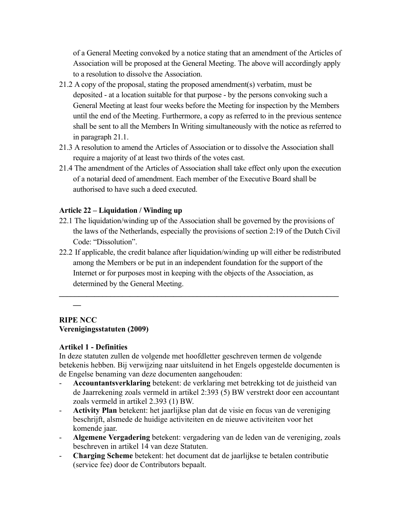of a General Meeting convoked by a notice stating that an amendment of the Articles of Association will be proposed at the General Meeting. The above will accordingly apply to a resolution to dissolve the Association.

- 21.2 A copy of the proposal, stating the proposed amendment(s) verbatim, must be deposited - at a location suitable for that purpose - by the persons convoking such a General Meeting at least four weeks before the Meeting for inspection by the Members until the end of the Meeting. Furthermore, a copy as referred to in the previous sentence shall be sent to all the Members In Writing simultaneously with the notice as referred to in paragraph 21.1.
- 21.3 A resolution to amend the Articles of Association or to dissolve the Association shall require a majority of at least two thirds of the votes cast.
- 21.4 The amendment of the Articles of Association shall take effect only upon the execution of a notarial deed of amendment. Each member of the Executive Board shall be authorised to have such a deed executed.

#### **Article 22 – Liquidation / Winding up**

- 22.1 The liquidation/winding up of the Association shall be governed by the provisions of the laws of the Netherlands, especially the provisions of section 2:19 of the Dutch Civil Code: "Dissolution".
- 22.2 If applicable, the credit balance after liquidation/winding up will either be redistributed among the Members or be put in an independent foundation for the support of the Internet or for purposes most in keeping with the objects of the Association, as determined by the General Meeting.

 $\mathcal{L} = \{ \mathcal{L} \mid \mathcal{L} \in \mathcal{L} \}$ 

## **\_\_**

#### **RIPE NCC Verenigingsstatuten (2009)**

#### **Artikel 1 - Definities**

In deze statuten zullen de volgende met hoofdletter geschreven termen de volgende betekenis hebben. Bij verwijzing naar uitsluitend in het Engels opgestelde documenten is de Engelse benaming van deze documenten aangehouden:

- **Accountantsverklaring** betekent: de verklaring met betrekking tot de juistheid van de Jaarrekening zoals vermeld in artikel 2:393 (5) BW verstrekt door een accountant zoals vermeld in artikel 2.393 (1) BW.
- **Activity Plan** betekent: het jaarlijkse plan dat de visie en focus van de vereniging beschrijft, alsmede de huidige activiteiten en de nieuwe activiteiten voor het komende jaar.
- **Algemene Vergadering** betekent: vergadering van de leden van de vereniging, zoals beschreven in artikel 14 van deze Statuten.
- **Charging Scheme** betekent: het document dat de jaarlijkse te betalen contributie (service fee) door de Contributors bepaalt.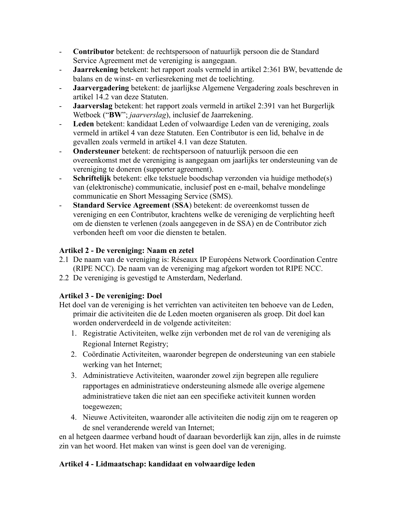- **Contributor** betekent: de rechtspersoon of natuurlijk persoon die de Standard Service Agreement met de vereniging is aangegaan.
- **Jaarrekening** betekent: het rapport zoals vermeld in artikel 2:361 BW, bevattende de balans en de winst- en verliesrekening met de toelichting.
- **Jaarvergadering** betekent: de jaarlijkse Algemene Vergadering zoals beschreven in artikel 14.2 van deze Statuten.
- **Jaarverslag** betekent: het rapport zoals vermeld in artikel 2:391 van het Burgerlijk Wetboek ("**BW**"; *jaarverslag*), inclusief de Jaarrekening.
- **Leden** betekent: kandidaat Leden of volwaardige Leden van de vereniging, zoals vermeld in artikel 4 van deze Statuten. Een Contributor is een lid, behalve in de gevallen zoals vermeld in artikel 4.1 van deze Statuten.
- **Ondersteuner** betekent: de rechtspersoon of natuurlijk persoon die een overeenkomst met de vereniging is aangegaan om jaarlijks ter ondersteuning van de vereniging te doneren (supporter agreement).
- **Schriftelijk** betekent: elke tekstuele boodschap verzonden via huidige methode(s) van (elektronische) communicatie, inclusief post en e-mail, behalve mondelinge communicatie en Short Messaging Service (SMS).
- **Standard Service Agreement** (**SSA**) betekent: de overeenkomst tussen de vereniging en een Contributor, krachtens welke de vereniging de verplichting heeft om de diensten te verlenen (zoals aangegeven in de SSA) en de Contributor zich verbonden heeft om voor die diensten te betalen.

## **Artikel 2 - De vereniging: Naam en zetel**

- 2.1 De naam van de vereniging is: Réseaux IP Européens Network Coordination Centre (RIPE NCC). De naam van de vereniging mag afgekort worden tot RIPE NCC.
- 2.2 De vereniging is gevestigd te Amsterdam, Nederland.

## **Artikel 3 - De vereniging: Doel**

- Het doel van de vereniging is het verrichten van activiteiten ten behoeve van de Leden, primair die activiteiten die de Leden moeten organiseren als groep. Dit doel kan worden onderverdeeld in de volgende activiteiten:
	- 1. Registratie Activiteiten, welke zijn verbonden met de rol van de vereniging als Regional Internet Registry;
	- 2. Coördinatie Activiteiten, waaronder begrepen de ondersteuning van een stabiele werking van het Internet;
	- 3. Administratieve Activiteiten, waaronder zowel zijn begrepen alle reguliere rapportages en administratieve ondersteuning alsmede alle overige algemene administratieve taken die niet aan een specifieke activiteit kunnen worden toegewezen;
	- 4. Nieuwe Activiteiten, waaronder alle activiteiten die nodig zijn om te reageren op de snel veranderende wereld van Internet;

en al hetgeen daarmee verband houdt of daaraan bevorderlijk kan zijn, alles in de ruimste zin van het woord. Het maken van winst is geen doel van de vereniging.

## **Artikel 4 - Lidmaatschap: kandidaat en volwaardige leden**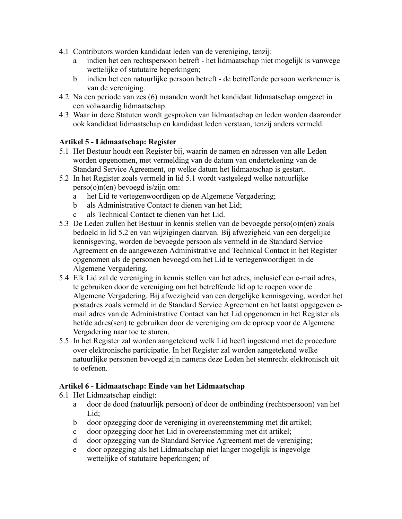- 4.1 Contributors worden kandidaat leden van de vereniging, tenzij:
	- a indien het een rechtspersoon betreft het lidmaatschap niet mogelijk is vanwege wettelijke of statutaire beperkingen;
	- b indien het een natuurlijke persoon betreft de betreffende persoon werknemer is van de vereniging.
- 4.2 Na een periode van zes (6) maanden wordt het kandidaat lidmaatschap omgezet in een volwaardig lidmaatschap.
- 4.3 Waar in deze Statuten wordt gesproken van lidmaatschap en leden worden daaronder ook kandidaat lidmaatschap en kandidaat leden verstaan, tenzij anders vermeld.

## **Artikel 5 - Lidmaatschap: Register**

- 5.1 Het Bestuur houdt een Register bij, waarin de namen en adressen van alle Leden worden opgenomen, met vermelding van de datum van ondertekening van de Standard Service Agreement, op welke datum het lidmaatschap is gestart.
- 5.2 In het Register zoals vermeld in lid 5.1 wordt vastgelegd welke natuurlijke perso(o)n(en) bevoegd is/zijn om:
	- a het Lid te vertegenwoordigen op de Algemene Vergadering;
	- b als Administrative Contact te dienen van het Lid;
	- c als Technical Contact te dienen van het Lid.
- 5.3 De Leden zullen het Bestuur in kennis stellen van de bevoegde perso(o)n(en) zoals bedoeld in lid 5.2 en van wijzigingen daarvan. Bij afwezigheid van een dergelijke kennisgeving, worden de bevoegde persoon als vermeld in de Standard Service Agreement en de aangewezen Administrative and Technical Contact in het Register opgenomen als de personen bevoegd om het Lid te vertegenwoordigen in de Algemene Vergadering.
- 5.4 Elk Lid zal de vereniging in kennis stellen van het adres, inclusief een e-mail adres, te gebruiken door de vereniging om het betreffende lid op te roepen voor de Algemene Vergadering. Bij afwezigheid van een dergelijke kennisgeving, worden het postadres zoals vermeld in de Standard Service Agreement en het laatst opgegeven email adres van de Administrative Contact van het Lid opgenomen in het Register als het/de adres(sen) te gebruiken door de vereniging om de oproep voor de Algemene Vergadering naar toe te sturen.
- 5.5 In het Register zal worden aangetekend welk Lid heeft ingestemd met de procedure over elektronische participatie. In het Register zal worden aangetekend welke natuurlijke personen bevoegd zijn namens deze Leden het stemrecht elektronisch uit te oefenen.

## **Artikel 6 - Lidmaatschap: Einde van het Lidmaatschap**

- 6.1 Het Lidmaatschap eindigt:
	- a door de dood (natuurlijk persoon) of door de ontbinding (rechtspersoon) van het Lid:
	- b door opzegging door de vereniging in overeenstemming met dit artikel;
	- c door opzegging door het Lid in overeenstemming met dit artikel;
	- d door opzegging van de Standard Service Agreement met de vereniging;
	- e door opzegging als het Lidmaatschap niet langer mogelijk is ingevolge wettelijke of statutaire beperkingen; of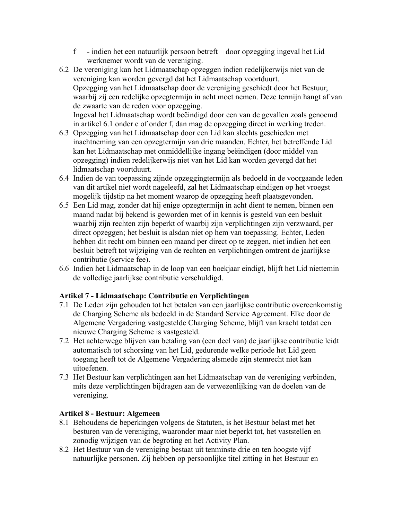- f indien het een natuurlijk persoon betreft door opzegging ingeval het Lid werknemer wordt van de vereniging.
- 6.2 De vereniging kan het Lidmaatschap opzeggen indien redelijkerwijs niet van de vereniging kan worden gevergd dat het Lidmaatschap voortduurt. Opzegging van het Lidmaatschap door de vereniging geschiedt door het Bestuur, waarbij zij een redelijke opzegtermijn in acht moet nemen. Deze termijn hangt af van de zwaarte van de reden voor opzegging. Ingeval het Lidmaatschap wordt beëindigd door een van de gevallen zoals genoemd in artikel 6.1 onder e of onder f, dan mag de opzegging direct in werking treden.
- 6.3 Opzegging van het Lidmaatschap door een Lid kan slechts geschieden met inachtneming van een opzegtermijn van drie maanden. Echter, het betreffende Lid kan het Lidmaatschap met onmiddellijke ingang beëindigen (door middel van opzegging) indien redelijkerwijs niet van het Lid kan worden gevergd dat het lidmaatschap voortduurt.
- 6.4 Indien de van toepassing zijnde opzeggingtermijn als bedoeld in de voorgaande leden van dit artikel niet wordt nageleefd, zal het Lidmaatschap eindigen op het vroegst mogelijk tijdstip na het moment waarop de opzegging heeft plaatsgevonden.
- 6.5 Een Lid mag, zonder dat hij enige opzegtermijn in acht dient te nemen, binnen een maand nadat bij bekend is geworden met of in kennis is gesteld van een besluit waarbij zijn rechten zijn beperkt of waarbij zijn verplichtingen zijn verzwaard, per direct opzeggen; het besluit is alsdan niet op hem van toepassing. Echter, Leden hebben dit recht om binnen een maand per direct op te zeggen, niet indien het een besluit betreft tot wijziging van de rechten en verplichtingen omtrent de jaarlijkse contributie (service fee).
- 6.6 Indien het Lidmaatschap in de loop van een boekjaar eindigt, blijft het Lid niettemin de volledige jaarlijkse contributie verschuldigd.

## **Artikel 7 - Lidmaatschap: Contributie en Verplichtingen**

- 7.1 De Leden zijn gehouden tot het betalen van een jaarlijkse contributie overeenkomstig de Charging Scheme als bedoeld in de Standard Service Agreement. Elke door de Algemene Vergadering vastgestelde Charging Scheme, blijft van kracht totdat een nieuwe Charging Scheme is vastgesteld.
- 7.2 Het achterwege blijven van betaling van (een deel van) de jaarlijkse contributie leidt automatisch tot schorsing van het Lid, gedurende welke periode het Lid geen toegang heeft tot de Algemene Vergadering alsmede zijn stemrecht niet kan uitoefenen.
- 7.3 Het Bestuur kan verplichtingen aan het Lidmaatschap van de vereniging verbinden, mits deze verplichtingen bijdragen aan de verwezenlijking van de doelen van de vereniging.

## **Artikel 8 - Bestuur: Algemeen**

- 8.1 Behoudens de beperkingen volgens de Statuten, is het Bestuur belast met het besturen van de vereniging, waaronder maar niet beperkt tot, het vaststellen en zonodig wijzigen van de begroting en het Activity Plan.
- 8.2 Het Bestuur van de vereniging bestaat uit tenminste drie en ten hoogste vijf natuurlijke personen. Zij hebben op persoonlijke titel zitting in het Bestuur en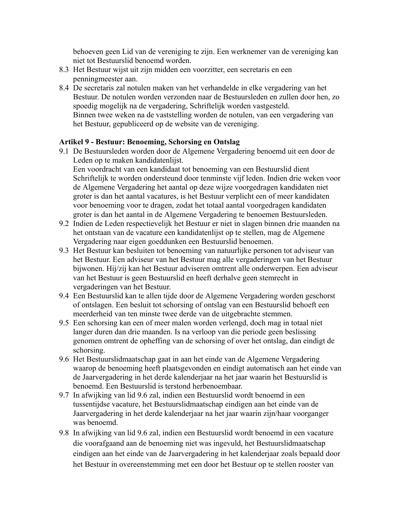behoeven geen Lid van de vereniging te zijn. Een werknemer van de vereniging kan niet tot Bestuurslid benoemd worden.

- 8.3 Het Bestuur wijst uit zijn midden een voorzitter, een secretaris en een penningmeester aan.
- 8.4 De secretaris zal notulen maken van het verhandelde in elke vergadering van het Bestuur. De notulen worden verzonden naar de Bestuursleden en zullen door hen, zo spoedig mogelijk na de vergadering, Schriftelijk worden vastgesteld. Binnen twee weken na de vaststelling worden de notulen, van een vergadering van het Bestuur, gepubliceerd op de website van de vereniging.

#### **Artikel 9 - Bestuur: Benoeming, Schorsing en Ontslag**

- 9.1 De Bestuursleden worden door de Algemene Vergadering benoemd uit een door de Leden op te maken kandidatenlijst. Een voordracht van een kandidaat tot benoeming van een Bestuurslid dient Schriftelijk te worden ondersteund door tenminste vijf leden. Indien drie weken voor de Algemene Vergadering het aantal op deze wijze voorgedragen kandidaten niet groter is dan het aantal vacatures, is het Bestuur verplicht een of meer kandidaten voor benoeming voor te dragen, zodat het totaal aantal voorgedragen kandidaten groter is dan het aantal in de Algemene Vergadering te benoemen Bestuursleden.
- 9.2 Indien de Leden respectievelijk het Bestuur er niet in slagen binnen drie maanden na het ontstaan van de vacature een kandidatenlijst op te stellen, mag de Algemene Vergadering naar eigen goeddunken een Bestuurslid benoemen.
- 9.3 Het Bestuur kan besluiten tot benoeming van natuurlijke personen tot adviseur van het Bestuur. Een adviseur van het Bestuur mag alle vergaderingen van het Bestuur bijwonen. Hij/zij kan het Bestuur adviseren omtrent alle onderwerpen. Een adviseur van het Bestuur is geen Bestuurslid en heeft derhalve geen stemrecht in vergaderingen van het Bestuur.
- 9.4 Een Bestuurslid kan te allen tijde door de Algemene Vergadering worden geschorst of ontslagen. Een besluit tot schorsing of ontslag van een Bestuurslid behoeft een meerderheid van ten minste twee derde van de uitgebrachte stemmen.
- 9.5 Een schorsing kan een of meer malen worden verlengd, doch mag in totaal niet langer duren dan drie maanden. Is na verloop van die periode geen beslissing genomen omtrent de opheffing van de schorsing of over het ontslag, dan eindigt de schorsing.
- 9.6 Het Bestuurslidmaatschap gaat in aan het einde van de Algemene Vergadering waarop de benoeming heeft plaatsgevonden en eindigt automatisch aan het einde van de Jaarvergadering in het derde kalenderjaar na het jaar waarin het Bestuurslid is benoemd. Een Bestuurslid is terstond herbenoembaar.
- 9.7 In afwijking van lid 9.6 zal, indien een Bestuurslid wordt benoemd in een tussentijdse vacature, het Bestuurslidmaatschap eindigen aan het einde van de Jaarvergadering in het derde kalenderjaar na het jaar waarin zijn/haar voorganger was benoemd.
- 9.8 In afwijking van lid 9.6 zal, indien een Bestuurslid wordt benoemd in een vacature die voorafgaand aan de benoeming niet was ingevuld, het Bestuurslidmaatschap eindigen aan het einde van de Jaarvergadering in het kalenderjaar zoals bepaald door het Bestuur in overeenstemming met een door het Bestuur op te stellen rooster van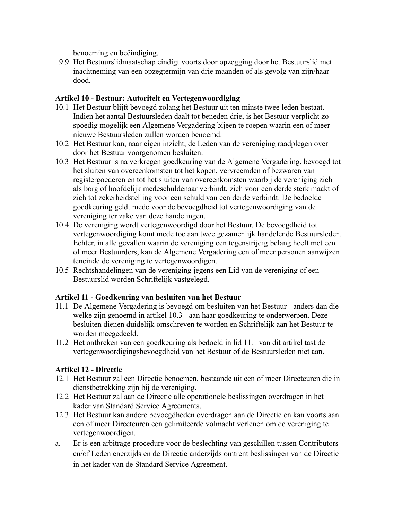benoeming en beëindiging.

9.9 Het Bestuurslidmaatschap eindigt voorts door opzegging door het Bestuurslid met inachtneming van een opzegtermijn van drie maanden of als gevolg van zijn/haar dood.

## **Artikel 10 - Bestuur: Autoriteit en Vertegenwoordiging**

- 10.1 Het Bestuur blijft bevoegd zolang het Bestuur uit ten minste twee leden bestaat. Indien het aantal Bestuursleden daalt tot beneden drie, is het Bestuur verplicht zo spoedig mogelijk een Algemene Vergadering bijeen te roepen waarin een of meer nieuwe Bestuursleden zullen worden benoemd.
- 10.2 Het Bestuur kan, naar eigen inzicht, de Leden van de vereniging raadplegen over door het Bestuur voorgenomen besluiten.
- 10.3 Het Bestuur is na verkregen goedkeuring van de Algemene Vergadering, bevoegd tot het sluiten van overeenkomsten tot het kopen, vervreemden of bezwaren van registergoederen en tot het sluiten van overeenkomsten waarbij de vereniging zich als borg of hoofdelijk medeschuldenaar verbindt, zich voor een derde sterk maakt of zich tot zekerheidstelling voor een schuld van een derde verbindt. De bedoelde goedkeuring geldt mede voor de bevoegdheid tot vertegenwoordiging van de vereniging ter zake van deze handelingen.
- 10.4 De vereniging wordt vertegenwoordigd door het Bestuur. De bevoegdheid tot vertegenwoordiging komt mede toe aan twee gezamenlijk handelende Bestuursleden. Echter, in alle gevallen waarin de vereniging een tegenstrijdig belang heeft met een of meer Bestuurders, kan de Algemene Vergadering een of meer personen aanwijzen teneinde de vereniging te vertegenwoordigen.
- 10.5 Rechtshandelingen van de vereniging jegens een Lid van de vereniging of een Bestuurslid worden Schriftelijk vastgelegd.

## **Artikel 11 - Goedkeuring van besluiten van het Bestuur**

- 11.1 De Algemene Vergadering is bevoegd om besluiten van het Bestuur anders dan die welke zijn genoemd in artikel 10.3 - aan haar goedkeuring te onderwerpen. Deze besluiten dienen duidelijk omschreven te worden en Schriftelijk aan het Bestuur te worden meegedeeld.
- 11.2 Het ontbreken van een goedkeuring als bedoeld in lid 11.1 van dit artikel tast de vertegenwoordigingsbevoegdheid van het Bestuur of de Bestuursleden niet aan.

## **Artikel 12 - Directie**

- 12.1 Het Bestuur zal een Directie benoemen, bestaande uit een of meer Directeuren die in dienstbetrekking zijn bij de vereniging.
- 12.2 Het Bestuur zal aan de Directie alle operationele beslissingen overdragen in het kader van Standard Service Agreements.
- 12.3 Het Bestuur kan andere bevoegdheden overdragen aan de Directie en kan voorts aan een of meer Directeuren een gelimiteerde volmacht verlenen om de vereniging te vertegenwoordigen.
- a. Er is een arbitrage procedure voor de beslechting van geschillen tussen Contributors en/of Leden enerzijds en de Directie anderzijds omtrent beslissingen van de Directie in het kader van de Standard Service Agreement.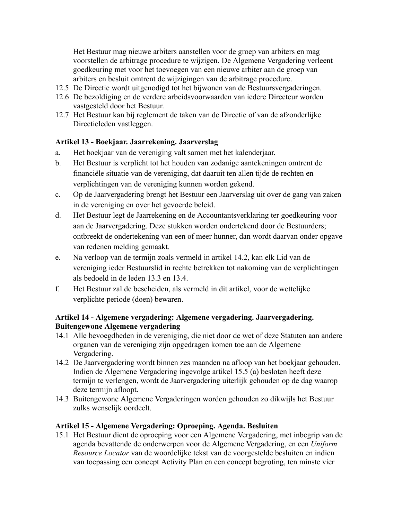Het Bestuur mag nieuwe arbiters aanstellen voor de groep van arbiters en mag voorstellen de arbitrage procedure te wijzigen. De Algemene Vergadering verleent goedkeuring met voor het toevoegen van een nieuwe arbiter aan de groep van arbiters en besluit omtrent de wijzigingen van de arbitrage procedure.

- 12.5 De Directie wordt uitgenodigd tot het bijwonen van de Bestuursvergaderingen.
- 12.6 De bezoldiging en de verdere arbeidsvoorwaarden van iedere Directeur worden vastgesteld door het Bestuur.
- 12.7 Het Bestuur kan bij reglement de taken van de Directie of van de afzonderlijke Directieleden vastleggen.

## **Artikel 13 - Boekjaar. Jaarrekening. Jaarverslag**

- a. Het boekjaar van de vereniging valt samen met het kalenderjaar.
- b. Het Bestuur is verplicht tot het houden van zodanige aantekeningen omtrent de financiële situatie van de vereniging, dat daaruit ten allen tijde de rechten en verplichtingen van de vereniging kunnen worden gekend.
- c. Op de Jaarvergadering brengt het Bestuur een Jaarverslag uit over de gang van zaken in de vereniging en over het gevoerde beleid.
- d. Het Bestuur legt de Jaarrekening en de Accountantsverklaring ter goedkeuring voor aan de Jaarvergadering. Deze stukken worden ondertekend door de Bestuurders; ontbreekt de ondertekening van een of meer hunner, dan wordt daarvan onder opgave van redenen melding gemaakt.
- e. Na verloop van de termijn zoals vermeld in artikel 14.2, kan elk Lid van de vereniging ieder Bestuurslid in rechte betrekken tot nakoming van de verplichtingen als bedoeld in de leden 13.3 en 13.4.
- f. Het Bestuur zal de bescheiden, als vermeld in dit artikel, voor de wettelijke verplichte periode (doen) bewaren.

## **Artikel 14 - Algemene vergadering: Algemene vergadering. Jaarvergadering. Buitengewone Algemene vergadering**

- 14.1 Alle bevoegdheden in de vereniging, die niet door de wet of deze Statuten aan andere organen van de vereniging zijn opgedragen komen toe aan de Algemene Vergadering.
- 14.2 De Jaarvergadering wordt binnen zes maanden na afloop van het boekjaar gehouden. Indien de Algemene Vergadering ingevolge artikel 15.5 (a) besloten heeft deze termijn te verlengen, wordt de Jaarvergadering uiterlijk gehouden op de dag waarop deze termijn afloopt.
- 14.3 Buitengewone Algemene Vergaderingen worden gehouden zo dikwijls het Bestuur zulks wenselijk oordeelt.

## **Artikel 15 - Algemene Vergadering: Oproeping. Agenda. Besluiten**

15.1 Het Bestuur dient de oproeping voor een Algemene Vergadering, met inbegrip van de agenda bevattende de onderwerpen voor de Algemene Vergadering, en een *Uniform Resource Locator* van de woordelijke tekst van de voorgestelde besluiten en indien van toepassing een concept Activity Plan en een concept begroting, ten minste vier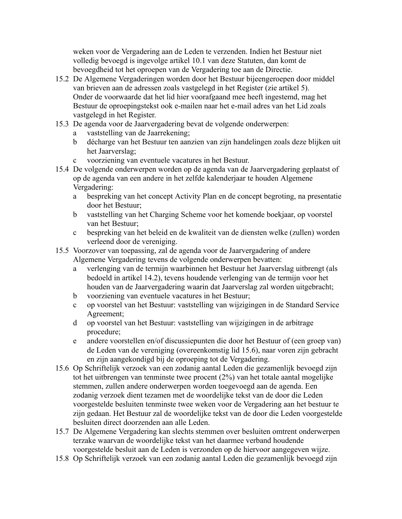weken voor de Vergadering aan de Leden te verzenden. Indien het Bestuur niet volledig bevoegd is ingevolge artikel 10.1 van deze Statuten, dan komt de bevoegdheid tot het oproepen van de Vergadering toe aan de Directie.

- 15.2 De Algemene Vergaderingen worden door het Bestuur bijeengeroepen door middel van brieven aan de adressen zoals vastgelegd in het Register (zie artikel 5). Onder de voorwaarde dat het lid hier voorafgaand mee heeft ingestemd, mag het Bestuur de oproepingstekst ook e-mailen naar het e-mail adres van het Lid zoals vastgelegd in het Register.
- 15.3 De agenda voor de Jaarvergadering bevat de volgende onderwerpen:
	- a vaststelling van de Jaarrekening;
	- b décharge van het Bestuur ten aanzien van zijn handelingen zoals deze blijken uit het Jaarverslag;
	- c voorziening van eventuele vacatures in het Bestuur.
- 15.4 De volgende onderwerpen worden op de agenda van de Jaarvergadering geplaatst of op de agenda van een andere in het zelfde kalenderjaar te houden Algemene Vergadering:
	- a bespreking van het concept Activity Plan en de concept begroting, na presentatie door het Bestuur;
	- b vaststelling van het Charging Scheme voor het komende boekjaar, op voorstel van het Bestuur;
	- c bespreking van het beleid en de kwaliteit van de diensten welke (zullen) worden verleend door de vereniging.
- 15.5 Voorzover van toepassing, zal de agenda voor de Jaarvergadering of andere Algemene Vergadering tevens de volgende onderwerpen bevatten:
	- a verlenging van de termijn waarbinnen het Bestuur het Jaarverslag uitbrengt (als bedoeld in artikel 14.2), tevens houdende verlenging van de termijn voor het houden van de Jaarvergadering waarin dat Jaarverslag zal worden uitgebracht;
	- b voorziening van eventuele vacatures in het Bestuur;
	- c op voorstel van het Bestuur: vaststelling van wijzigingen in de Standard Service Agreement;
	- d op voorstel van het Bestuur: vaststelling van wijzigingen in de arbitrage procedure;
	- e andere voorstellen en/of discussiepunten die door het Bestuur of (een groep van) de Leden van de vereniging (overeenkomstig lid 15.6), naar voren zijn gebracht en zijn aangekondigd bij de oproeping tot de Vergadering.
- 15.6 Op Schriftelijk verzoek van een zodanig aantal Leden die gezamenlijk bevoegd zijn tot het uitbrengen van tenminste twee procent (2%) van het totale aantal mogelijke stemmen, zullen andere onderwerpen worden toegevoegd aan de agenda. Een zodanig verzoek dient tezamen met de woordelijke tekst van de door die Leden voorgestelde besluiten tenminste twee weken voor de Vergadering aan het bestuur te zijn gedaan. Het Bestuur zal de woordelijke tekst van de door die Leden voorgestelde besluiten direct doorzenden aan alle Leden.
- 15.7 De Algemene Vergadering kan slechts stemmen over besluiten omtrent onderwerpen terzake waarvan de woordelijke tekst van het daarmee verband houdende voorgestelde besluit aan de Leden is verzonden op de hiervoor aangegeven wijze.
- 15.8 Op Schriftelijk verzoek van een zodanig aantal Leden die gezamenlijk bevoegd zijn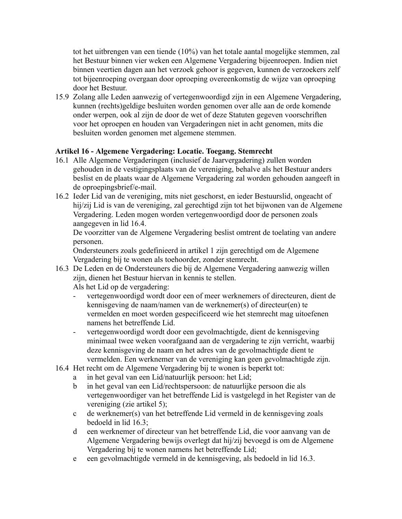tot het uitbrengen van een tiende (10%) van het totale aantal mogelijke stemmen, zal het Bestuur binnen vier weken een Algemene Vergadering bijeenroepen. Indien niet binnen veertien dagen aan het verzoek gehoor is gegeven, kunnen de verzoekers zelf tot bijeenroeping overgaan door oproeping overeenkomstig de wijze van oproeping door het Bestuur.

15.9 Zolang alle Leden aanwezig of vertegenwoordigd zijn in een Algemene Vergadering, kunnen (rechts)geldige besluiten worden genomen over alle aan de orde komende onder werpen, ook al zijn de door de wet of deze Statuten gegeven voorschriften voor het oproepen en houden van Vergaderingen niet in acht genomen, mits die besluiten worden genomen met algemene stemmen.

## **Artikel 16 - Algemene Vergadering: Locatie. Toegang. Stemrecht**

- 16.1 Alle Algemene Vergaderingen (inclusief de Jaarvergadering) zullen worden gehouden in de vestigingsplaats van de vereniging, behalve als het Bestuur anders beslist en de plaats waar de Algemene Vergadering zal worden gehouden aangeeft in de oproepingsbrief/e-mail.
- 16.2 Ieder Lid van de vereniging, mits niet geschorst, en ieder Bestuurslid, ongeacht of hij/zij Lid is van de vereniging, zal gerechtigd zijn tot het bijwonen van de Algemene Vergadering. Leden mogen worden vertegenwoordigd door de personen zoals aangegeven in lid 16.4.

De voorzitter van de Algemene Vergadering beslist omtrent de toelating van andere personen.

Ondersteuners zoals gedefinieerd in artikel 1 zijn gerechtigd om de Algemene Vergadering bij te wonen als toehoorder, zonder stemrecht.

16.3 De Leden en de Ondersteuners die bij de Algemene Vergadering aanwezig willen zijn, dienen het Bestuur hiervan in kennis te stellen.

Als het Lid op de vergadering:

- vertegenwoordigd wordt door een of meer werknemers of directeuren, dient de kennisgeving de naam/namen van de werknemer(s) of directeur(en) te vermelden en moet worden gespecificeerd wie het stemrecht mag uitoefenen namens het betreffende Lid.
- vertegenwoordigd wordt door een gevolmachtigde, dient de kennisgeving minimaal twee weken voorafgaand aan de vergadering te zijn verricht, waarbij deze kennisgeving de naam en het adres van de gevolmachtigde dient te vermelden. Een werknemer van de vereniging kan geen gevolmachtigde zijn.
- 16.4 Het recht om de Algemene Vergadering bij te wonen is beperkt tot:
	- a in het geval van een Lid/natuurlijk persoon: het Lid;
	- b in het geval van een Lid/rechtspersoon: de natuurlijke persoon die als vertegenwoordiger van het betreffende Lid is vastgelegd in het Register van de vereniging (zie artikel 5);
	- c de werknemer(s) van het betreffende Lid vermeld in de kennisgeving zoals bedoeld in lid 16.3;
	- d een werknemer of directeur van het betreffende Lid, die voor aanvang van de Algemene Vergadering bewijs overlegt dat hij/zij bevoegd is om de Algemene Vergadering bij te wonen namens het betreffende Lid;
	- e een gevolmachtigde vermeld in de kennisgeving, als bedoeld in lid 16.3.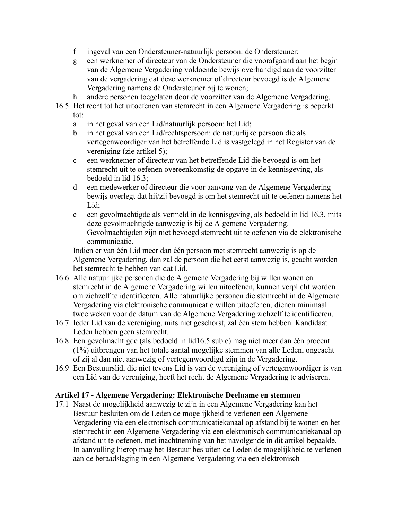- f ingeval van een Ondersteuner-natuurlijk persoon: de Ondersteuner;
- g een werknemer of directeur van de Ondersteuner die voorafgaand aan het begin van de Algemene Vergadering voldoende bewijs overhandigd aan de voorzitter van de vergadering dat deze werknemer of directeur bevoegd is de Algemene Vergadering namens de Ondersteuner bij te wonen;
- h andere personen toegelaten door de voorzitter van de Algemene Vergadering.
- 16.5 Het recht tot het uitoefenen van stemrecht in een Algemene Vergadering is beperkt tot:
	- a in het geval van een Lid/natuurlijk persoon: het Lid;
	- b in het geval van een Lid/rechtspersoon: de natuurlijke persoon die als vertegenwoordiger van het betreffende Lid is vastgelegd in het Register van de vereniging (zie artikel 5);
	- c een werknemer of directeur van het betreffende Lid die bevoegd is om het stemrecht uit te oefenen overeenkomstig de opgave in de kennisgeving, als bedoeld in lid 16.3;
	- d een medewerker of directeur die voor aanvang van de Algemene Vergadering bewijs overlegt dat hij/zij bevoegd is om het stemrecht uit te oefenen namens het Lid;
	- e een gevolmachtigde als vermeld in de kennisgeving, als bedoeld in lid 16.3, mits deze gevolmachtigde aanwezig is bij de Algemene Vergadering. Gevolmachtigden zijn niet bevoegd stemrecht uit te oefenen via de elektronische communicatie.

Indien er van één Lid meer dan één persoon met stemrecht aanwezig is op de Algemene Vergadering, dan zal de persoon die het eerst aanwezig is, geacht worden het stemrecht te hebben van dat Lid.

- 16.6 Alle natuurlijke personen die de Algemene Vergadering bij willen wonen en stemrecht in de Algemene Vergadering willen uitoefenen, kunnen verplicht worden om zichzelf te identificeren. Alle natuurlijke personen die stemrecht in de Algemene Vergadering via elektronische communicatie willen uitoefenen, dienen minimaal twee weken voor de datum van de Algemene Vergadering zichzelf te identificeren.
- 16.7 Ieder Lid van de vereniging, mits niet geschorst, zal één stem hebben. Kandidaat Leden hebben geen stemrecht.
- 16.8 Een gevolmachtigde (als bedoeld in lid16.5 sub e) mag niet meer dan één procent (1%) uitbrengen van het totale aantal mogelijke stemmen van alle Leden, ongeacht of zij al dan niet aanwezig of vertegenwoordigd zijn in de Vergadering.
- 16.9 Een Bestuurslid, die niet tevens Lid is van de vereniging of vertegenwoordiger is van een Lid van de vereniging, heeft het recht de Algemene Vergadering te adviseren.

## **Artikel 17 - Algemene Vergadering: Elektronische Deelname en stemmen**

17.1 Naast de mogelijkheid aanwezig te zijn in een Algemene Vergadering kan het Bestuur besluiten om de Leden de mogelijkheid te verlenen een Algemene Vergadering via een elektronisch communicatiekanaal op afstand bij te wonen en het stemrecht in een Algemene Vergadering via een elektronisch communicatiekanaal op afstand uit te oefenen, met inachtneming van het navolgende in dit artikel bepaalde. In aanvulling hierop mag het Bestuur besluiten de Leden de mogelijkheid te verlenen aan de beraadslaging in een Algemene Vergadering via een elektronisch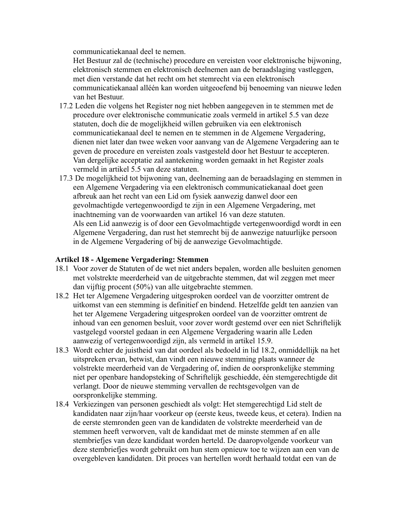communicatiekanaal deel te nemen.

Het Bestuur zal de (technische) procedure en vereisten voor elektronische bijwoning, elektronisch stemmen en elektronisch deelnemen aan de beraadslaging vastleggen, met dien verstande dat het recht om het stemrecht via een elektronisch communicatiekanaal alléén kan worden uitgeoefend bij benoeming van nieuwe leden van het Bestuur.

- 17.2 Leden die volgens het Register nog niet hebben aangegeven in te stemmen met de procedure over elektronische communicatie zoals vermeld in artikel 5.5 van deze statuten, doch die de mogelijkheid willen gebruiken via een elektronisch communicatiekanaal deel te nemen en te stemmen in de Algemene Vergadering, dienen niet later dan twee weken voor aanvang van de Algemene Vergadering aan te geven de procedure en vereisten zoals vastgesteld door het Bestuur te accepteren. Van dergelijke acceptatie zal aantekening worden gemaakt in het Register zoals vermeld in artikel 5.5 van deze statuten.
- 17.3 De mogelijkheid tot bijwoning van, deelneming aan de beraadslaging en stemmen in een Algemene Vergadering via een elektronisch communicatiekanaal doet geen afbreuk aan het recht van een Lid om fysiek aanwezig danwel door een gevolmachtigde vertegenwoordigd te zijn in een Algemene Vergadering, met inachtneming van de voorwaarden van artikel 16 van deze statuten. Als een Lid aanwezig is of door een Gevolmachtigde vertegenwoordigd wordt in een Algemene Vergadering, dan rust het stemrecht bij de aanwezige natuurlijke persoon in de Algemene Vergadering of bij de aanwezige Gevolmachtigde.

## **Artikel 18 - Algemene Vergadering: Stemmen**

- 18.1 Voor zover de Statuten of de wet niet anders bepalen, worden alle besluiten genomen met volstrekte meerderheid van de uitgebrachte stemmen, dat wil zeggen met meer dan vijftig procent (50%) van alle uitgebrachte stemmen.
- 18.2 Het ter Algemene Vergadering uitgesproken oordeel van de voorzitter omtrent de uitkomst van een stemming is definitief en bindend. Hetzelfde geldt ten aanzien van het ter Algemene Vergadering uitgesproken oordeel van de voorzitter omtrent de inhoud van een genomen besluit, voor zover wordt gestemd over een niet Schriftelijk vastgelegd voorstel gedaan in een Algemene Vergadering waarin alle Leden aanwezig of vertegenwoordigd zijn, als vermeld in artikel 15.9.
- 18.3 Wordt echter de juistheid van dat oordeel als bedoeld in lid 18.2, onmiddellijk na het uitspreken ervan, betwist, dan vindt een nieuwe stemming plaats wanneer de volstrekte meerderheid van de Vergadering of, indien de oorspronkelijke stemming niet per openbare handopsteking of Schriftelijk geschiedde, één stemgerechtigde dit verlangt. Door de nieuwe stemming vervallen de rechtsgevolgen van de oorspronkelijke stemming.
- 18.4 Verkiezingen van personen geschiedt als volgt: Het stemgerechtigd Lid stelt de kandidaten naar zijn/haar voorkeur op (eerste keus, tweede keus, et cetera). Indien na de eerste stemronden geen van de kandidaten de volstrekte meerderheid van de stemmen heeft verworven, valt de kandidaat met de minste stemmen af en alle stembriefjes van deze kandidaat worden herteld. De daaropvolgende voorkeur van deze stembriefjes wordt gebruikt om hun stem opnieuw toe te wijzen aan een van de overgebleven kandidaten. Dit proces van hertellen wordt herhaald totdat een van de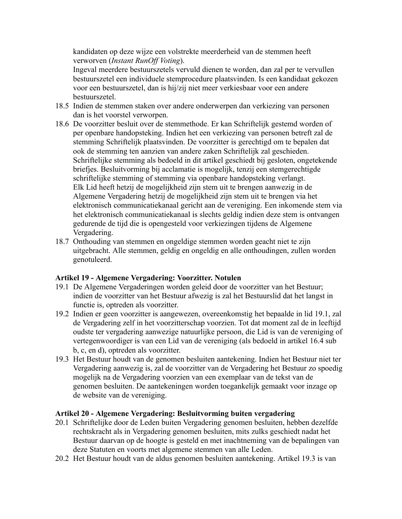kandidaten op deze wijze een volstrekte meerderheid van de stemmen heeft verworven (*Instant RunOff Voting*).

Ingeval meerdere bestuurszetels vervuld dienen te worden, dan zal per te vervullen bestuurszetel een individuele stemprocedure plaatsvinden. Is een kandidaat gekozen voor een bestuurszetel, dan is hij/zij niet meer verkiesbaar voor een andere bestuurszetel.

- 18.5 Indien de stemmen staken over andere onderwerpen dan verkiezing van personen dan is het voorstel verworpen.
- 18.6 De voorzitter besluit over de stemmethode. Er kan Schriftelijk gestemd worden of per openbare handopsteking. Indien het een verkiezing van personen betreft zal de stemming Schriftelijk plaatsvinden. De voorzitter is gerechtigd om te bepalen dat ook de stemming ten aanzien van andere zaken Schriftelijk zal geschieden. Schriftelijke stemming als bedoeld in dit artikel geschiedt bij gesloten, ongetekende briefjes. Besluitvorming bij acclamatie is mogelijk, tenzij een stemgerechtigde schriftelijke stemming of stemming via openbare handopsteking verlangt. Elk Lid heeft hetzij de mogelijkheid zijn stem uit te brengen aanwezig in de Algemene Vergadering hetzij de mogelijkheid zijn stem uit te brengen via het elektronisch communicatiekanaal gericht aan de vereniging. Een inkomende stem via het elektronisch communicatiekanaal is slechts geldig indien deze stem is ontvangen gedurende de tijd die is opengesteld voor verkiezingen tijdens de Algemene Vergadering.
- 18.7 Onthouding van stemmen en ongeldige stemmen worden geacht niet te zijn uitgebracht. Alle stemmen, geldig en ongeldig en alle onthoudingen, zullen worden genotuleerd.

## **Artikel 19 - Algemene Vergadering: Voorzitter. Notulen**

- 19.1 De Algemene Vergaderingen worden geleid door de voorzitter van het Bestuur; indien de voorzitter van het Bestuur afwezig is zal het Bestuurslid dat het langst in functie is, optreden als voorzitter.
- 19.2 Indien er geen voorzitter is aangewezen, overeenkomstig het bepaalde in lid 19.1, zal de Vergadering zelf in het voorzitterschap voorzien. Tot dat moment zal de in leeftijd oudste ter vergadering aanwezige natuurlijke persoon, die Lid is van de vereniging of vertegenwoordiger is van een Lid van de vereniging (als bedoeld in artikel 16.4 sub b, c, en d), optreden als voorzitter.
- 19.3 Het Bestuur houdt van de genomen besluiten aantekening. Indien het Bestuur niet ter Vergadering aanwezig is, zal de voorzitter van de Vergadering het Bestuur zo spoedig mogelijk na de Vergadering voorzien van een exemplaar van de tekst van de genomen besluiten. De aantekeningen worden toegankelijk gemaakt voor inzage op de website van de vereniging.

#### **Artikel 20 - Algemene Vergadering: Besluitvorming buiten vergadering**

- 20.1 Schriftelijke door de Leden buiten Vergadering genomen besluiten, hebben dezelfde rechtskracht als in Vergadering genomen besluiten, mits zulks geschiedt nadat het Bestuur daarvan op de hoogte is gesteld en met inachtneming van de bepalingen van deze Statuten en voorts met algemene stemmen van alle Leden.
- 20.2 Het Bestuur houdt van de aldus genomen besluiten aantekening. Artikel 19.3 is van